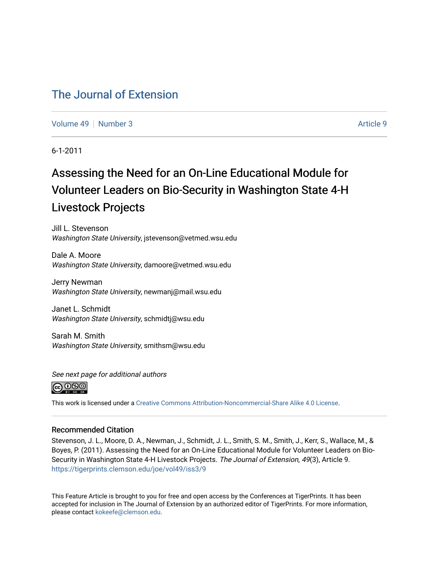#### [The Journal of Extension](https://tigerprints.clemson.edu/joe)

[Volume 49](https://tigerprints.clemson.edu/joe/vol49) [Number 3](https://tigerprints.clemson.edu/joe/vol49/iss3) Article 9

6-1-2011

### Assessing the Need for an On-Line Educational Module for Volunteer Leaders on Bio-Security in Washington State 4-H Livestock Projects

Jill L. Stevenson Washington State University, jstevenson@vetmed.wsu.edu

Dale A. Moore Washington State University, damoore@vetmed.wsu.edu

Jerry Newman Washington State University, newmanj@mail.wsu.edu

Janet L. Schmidt Washington State University, schmidtj@wsu.edu

Sarah M. Smith Washington State University, smithsm@wsu.edu





This work is licensed under a [Creative Commons Attribution-Noncommercial-Share Alike 4.0 License.](https://creativecommons.org/licenses/by-nc-sa/4.0/)

#### Recommended Citation

Stevenson, J. L., Moore, D. A., Newman, J., Schmidt, J. L., Smith, S. M., Smith, J., Kerr, S., Wallace, M., & Boyes, P. (2011). Assessing the Need for an On-Line Educational Module for Volunteer Leaders on Bio-Security in Washington State 4-H Livestock Projects. The Journal of Extension, 49(3), Article 9. <https://tigerprints.clemson.edu/joe/vol49/iss3/9>

This Feature Article is brought to you for free and open access by the Conferences at TigerPrints. It has been accepted for inclusion in The Journal of Extension by an authorized editor of TigerPrints. For more information, please contact [kokeefe@clemson.edu](mailto:kokeefe@clemson.edu).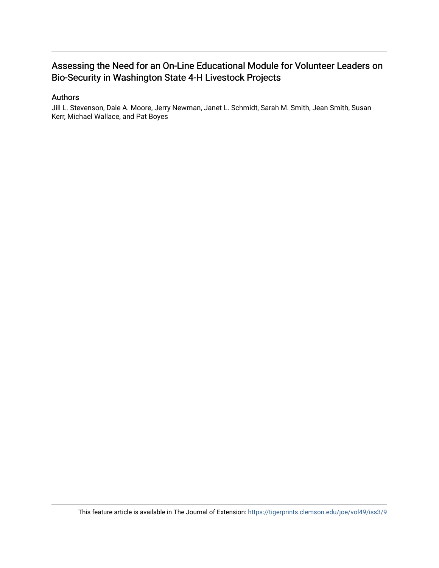#### Assessing the Need for an On-Line Educational Module for Volunteer Leaders on Bio-Security in Washington State 4-H Livestock Projects

#### Authors

Jill L. Stevenson, Dale A. Moore, Jerry Newman, Janet L. Schmidt, Sarah M. Smith, Jean Smith, Susan Kerr, Michael Wallace, and Pat Boyes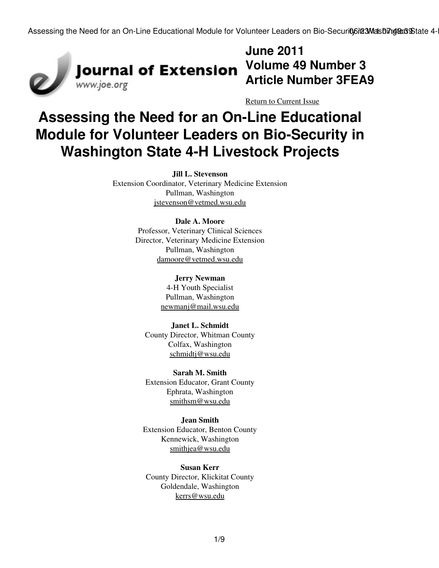

# **June 2011 Article Number 3FEA9**

[Return to Current Issue](http://www.joe.org:80/joe/2011june/)

## **Assessing the Need for an On-Line Educational Module for Volunteer Leaders on Bio-Security in Washington State 4-H Livestock Projects**

**Jill L. Stevenson** Extension Coordinator, Veterinary Medicine Extension Pullman, Washington [jstevenson@vetmed.wsu.edu](mailto:jstevenson@vetmed.wsu.edu)

#### **Dale A. Moore**

Professor, Veterinary Clinical Sciences Director, Veterinary Medicine Extension Pullman, Washington [damoore@vetmed.wsu.edu](mailto:damoore@vetmed.wsu.edu)

#### **Jerry Newman**

4-H Youth Specialist Pullman, Washington [newmanj@mail.wsu.edu](mailto:newmanj@mail.wsu.edu)

**Janet L. Schmidt** County Director, Whitman County Colfax, Washington [schmidtj@wsu.edu](mailto:schmidtj@wsu.edu)

**Sarah M. Smith** Extension Educator, Grant County Ephrata, Washington [smithsm@wsu.edu](mailto:smithsm@wsu.edu)

**Jean Smith** Extension Educator, Benton County Kennewick, Washington [smithjea@wsu.edu](mailto:smithjea@wsu.edu)

**Susan Kerr** County Director, Klickitat County Goldendale, Washington [kerrs@wsu.edu](mailto:kerrs@wsu.edu)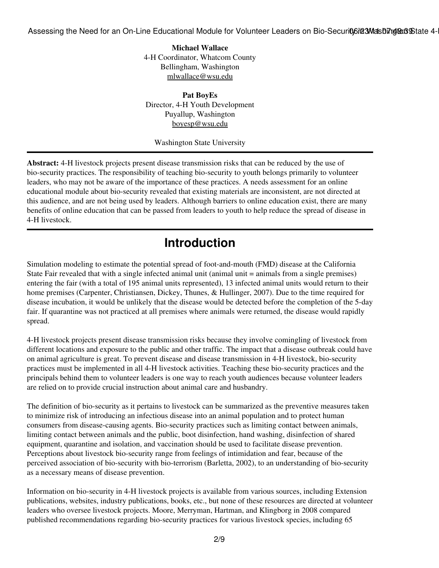**Michael Wallace** 4-H Coordinator, Whatcom County Bellingham, Washington [mlwallace@wsu.edu](mailto:mlwallace@wsu.edu)

**Pat BoyEs** Director, 4-H Youth Development Puyallup, Washington [boyesp@wsu.edu](mailto:boyesp@wsu.edu)

Washington State University

**Abstract:** 4-H livestock projects present disease transmission risks that can be reduced by the use of bio-security practices. The responsibility of teaching bio-security to youth belongs primarily to volunteer leaders, who may not be aware of the importance of these practices. A needs assessment for an online educational module about bio-security revealed that existing materials are inconsistent, are not directed at this audience, and are not being used by leaders. Although barriers to online education exist, there are many benefits of online education that can be passed from leaders to youth to help reduce the spread of disease in 4-H livestock.

### **Introduction**

Simulation modeling to estimate the potential spread of foot-and-mouth (FMD) disease at the California State Fair revealed that with a single infected animal unit (animal unit = animals from a single premises) entering the fair (with a total of 195 animal units represented), 13 infected animal units would return to their home premises (Carpenter, Christiansen, Dickey, Thunes, & Hullinger, 2007). Due to the time required for disease incubation, it would be unlikely that the disease would be detected before the completion of the 5-day fair. If quarantine was not practiced at all premises where animals were returned, the disease would rapidly spread.

4-H livestock projects present disease transmission risks because they involve comingling of livestock from different locations and exposure to the public and other traffic. The impact that a disease outbreak could have on animal agriculture is great. To prevent disease and disease transmission in 4-H livestock, bio-security practices must be implemented in all 4-H livestock activities. Teaching these bio-security practices and the principals behind them to volunteer leaders is one way to reach youth audiences because volunteer leaders are relied on to provide crucial instruction about animal care and husbandry.

The definition of bio-security as it pertains to livestock can be summarized as the preventive measures taken to minimize risk of introducing an infectious disease into an animal population and to protect human consumers from disease-causing agents. Bio-security practices such as limiting contact between animals, limiting contact between animals and the public, boot disinfection, hand washing, disinfection of shared equipment, quarantine and isolation, and vaccination should be used to facilitate disease prevention. Perceptions about livestock bio-security range from feelings of intimidation and fear, because of the perceived association of bio-security with bio-terrorism (Barletta, 2002), to an understanding of bio-security as a necessary means of disease prevention.

Information on bio-security in 4-H livestock projects is available from various sources, including Extension publications, websites, industry publications, books, etc., but none of these resources are directed at volunteer leaders who oversee livestock projects. Moore, Merryman, Hartman, and Klingborg in 2008 compared published recommendations regarding bio-security practices for various livestock species, including 65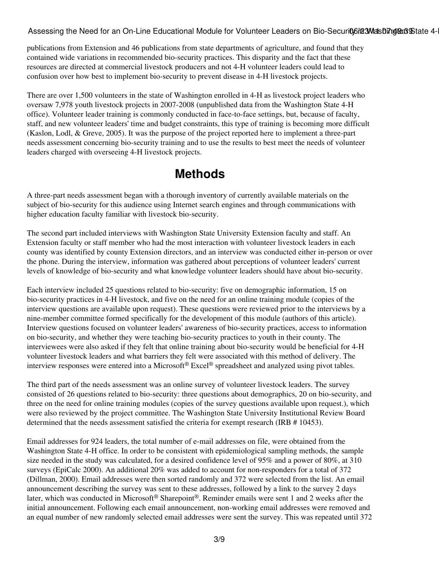publications from Extension and 46 publications from state departments of agriculture, and found that they contained wide variations in recommended bio-security practices. This disparity and the fact that these resources are directed at commercial livestock producers and not 4-H volunteer leaders could lead to confusion over how best to implement bio-security to prevent disease in 4-H livestock projects.

There are over 1,500 volunteers in the state of Washington enrolled in 4-H as livestock project leaders who oversaw 7,978 youth livestock projects in 2007-2008 (unpublished data from the Washington State 4-H office). Volunteer leader training is commonly conducted in face-to-face settings, but, because of faculty, staff, and new volunteer leaders' time and budget constraints, this type of training is becoming more difficult (Kaslon, Lodl, & Greve, 2005). It was the purpose of the project reported here to implement a three-part needs assessment concerning bio-security training and to use the results to best meet the needs of volunteer leaders charged with overseeing 4-H livestock projects.

### **Methods**

A three-part needs assessment began with a thorough inventory of currently available materials on the subject of bio-security for this audience using Internet search engines and through communications with higher education faculty familiar with livestock bio-security.

The second part included interviews with Washington State University Extension faculty and staff. An Extension faculty or staff member who had the most interaction with volunteer livestock leaders in each county was identified by county Extension directors, and an interview was conducted either in-person or over the phone. During the interview, information was gathered about perceptions of volunteer leaders' current levels of knowledge of bio-security and what knowledge volunteer leaders should have about bio-security.

Each interview included 25 questions related to bio-security: five on demographic information, 15 on bio-security practices in 4-H livestock, and five on the need for an online training module (copies of the interview questions are available upon request). These questions were reviewed prior to the interviews by a nine-member committee formed specifically for the development of this module (authors of this article). Interview questions focused on volunteer leaders' awareness of bio-security practices, access to information on bio-security, and whether they were teaching bio-security practices to youth in their county. The interviewees were also asked if they felt that online training about bio-security would be beneficial for 4-H volunteer livestock leaders and what barriers they felt were associated with this method of delivery. The interview responses were entered into a Microsoft® Excel® spreadsheet and analyzed using pivot tables.

The third part of the needs assessment was an online survey of volunteer livestock leaders. The survey consisted of 26 questions related to bio-security: three questions about demographics, 20 on bio-security, and three on the need for online training modules (copies of the survey questions available upon request.), which were also reviewed by the project committee. The Washington State University Institutional Review Board determined that the needs assessment satisfied the criteria for exempt research (IRB # 10453).

Email addresses for 924 leaders, the total number of e-mail addresses on file, were obtained from the Washington State 4-H office. In order to be consistent with epidemiological sampling methods, the sample size needed in the study was calculated, for a desired confidence level of 95% and a power of 80%, at 310 surveys (EpiCalc 2000). An additional 20% was added to account for non-responders for a total of 372 (Dillman, 2000). Email addresses were then sorted randomly and 372 were selected from the list. An email announcement describing the survey was sent to these addresses, followed by a link to the survey 2 days later, which was conducted in Microsoft® Sharepoint®. Reminder emails were sent 1 and 2 weeks after the initial announcement. Following each email announcement, non-working email addresses were removed and an equal number of new randomly selected email addresses were sent the survey. This was repeated until 372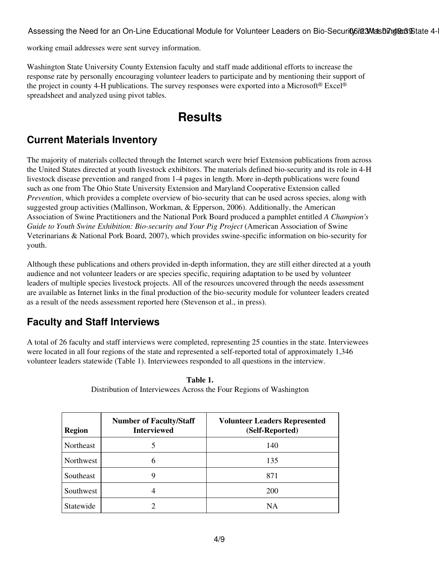working email addresses were sent survey information.

Washington State University County Extension faculty and staff made additional efforts to increase the response rate by personally encouraging volunteer leaders to participate and by mentioning their support of the project in county 4-H publications. The survey responses were exported into a Microsoft® Excel® spreadsheet and analyzed using pivot tables.

### **Results**

#### **Current Materials Inventory**

The majority of materials collected through the Internet search were brief Extension publications from across the United States directed at youth livestock exhibitors. The materials defined bio-security and its role in 4-H livestock disease prevention and ranged from 1-4 pages in length. More in-depth publications were found such as one from The Ohio State University Extension and Maryland Cooperative Extension called *Prevention*, which provides a complete overview of bio-security that can be used across species, along with suggested group activities (Mallinson, Workman, & Epperson, 2006). Additionally, the American Association of Swine Practitioners and the National Pork Board produced a pamphlet entitled *A Champion's Guide to Youth Swine Exhibition: Bio-security and Your Pig Project* (American Association of Swine Veterinarians & National Pork Board, 2007), which provides swine-specific information on bio-security for youth.

Although these publications and others provided in-depth information, they are still either directed at a youth audience and not volunteer leaders or are species specific, requiring adaptation to be used by volunteer leaders of multiple species livestock projects. All of the resources uncovered through the needs assessment are available as Internet links in the final production of the bio-security module for volunteer leaders created as a result of the needs assessment reported here (Stevenson et al., in press).

#### **Faculty and Staff Interviews**

A total of 26 faculty and staff interviews were completed, representing 25 counties in the state. Interviewees were located in all four regions of the state and represented a self-reported total of approximately 1,346 volunteer leaders statewide (Table 1). Interviewees responded to all questions in the interview.

| <b>Region</b> | <b>Number of Faculty/Staff</b><br><b>Interviewed</b> | <b>Volunteer Leaders Represented</b><br>(Self-Reported) |
|---------------|------------------------------------------------------|---------------------------------------------------------|
| Northeast     |                                                      | 140                                                     |
| Northwest     | h                                                    | 135                                                     |
| Southeast     | 9                                                    | 871                                                     |
| Southwest     |                                                      | <b>200</b>                                              |
| Statewide     |                                                      | <b>NA</b>                                               |

**Table 1.** Distribution of Interviewees Across the Four Regions of Washington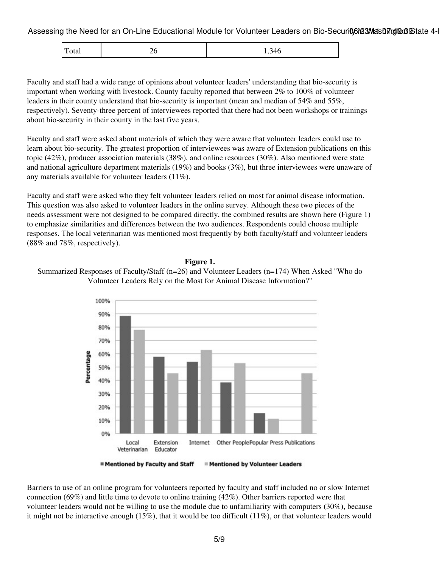| $\Gamma$<br>Total<br>9711<br>∠∪<br>- - - - -<br>. . |
|-----------------------------------------------------|
|-----------------------------------------------------|

Faculty and staff had a wide range of opinions about volunteer leaders' understanding that bio-security is important when working with livestock. County faculty reported that between 2% to 100% of volunteer leaders in their county understand that bio-security is important (mean and median of 54% and 55%, respectively). Seventy-three percent of interviewees reported that there had not been workshops or trainings about bio-security in their county in the last five years.

Faculty and staff were asked about materials of which they were aware that volunteer leaders could use to learn about bio-security. The greatest proportion of interviewees was aware of Extension publications on this topic (42%), producer association materials (38%), and online resources (30%). Also mentioned were state and national agriculture department materials (19%) and books (3%), but three interviewees were unaware of any materials available for volunteer leaders (11%).

Faculty and staff were asked who they felt volunteer leaders relied on most for animal disease information. This question was also asked to volunteer leaders in the online survey. Although these two pieces of the needs assessment were not designed to be compared directly, the combined results are shown here (Figure 1) to emphasize similarities and differences between the two audiences. Respondents could choose multiple responses. The local veterinarian was mentioned most frequently by both faculty/staff and volunteer leaders (88% and 78%, respectively).



#### **Figure 1.**



#### **Mentioned by Faculty and Staff E** Mentioned by Volunteer Leaders

Barriers to use of an online program for volunteers reported by faculty and staff included no or slow Internet connection (69%) and little time to devote to online training (42%). Other barriers reported were that volunteer leaders would not be willing to use the module due to unfamiliarity with computers (30%), because it might not be interactive enough (15%), that it would be too difficult (11%), or that volunteer leaders would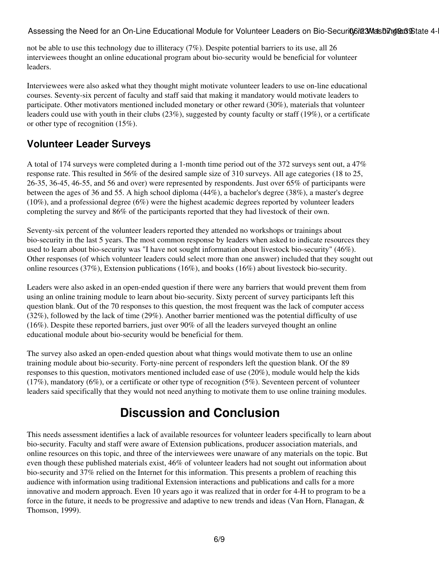not be able to use this technology due to illiteracy (7%). Despite potential barriers to its use, all 26 interviewees thought an online educational program about bio-security would be beneficial for volunteer leaders.

Interviewees were also asked what they thought might motivate volunteer leaders to use on-line educational courses. Seventy-six percent of faculty and staff said that making it mandatory would motivate leaders to participate. Other motivators mentioned included monetary or other reward (30%), materials that volunteer leaders could use with youth in their clubs (23%), suggested by county faculty or staff (19%), or a certificate or other type of recognition (15%).

#### **Volunteer Leader Surveys**

A total of 174 surveys were completed during a 1-month time period out of the 372 surveys sent out, a 47% response rate. This resulted in 56% of the desired sample size of 310 surveys. All age categories (18 to 25, 26-35, 36-45, 46-55, and 56 and over) were represented by respondents. Just over 65% of participants were between the ages of 36 and 55. A high school diploma (44%), a bachelor's degree (38%), a master's degree (10%), and a professional degree (6%) were the highest academic degrees reported by volunteer leaders completing the survey and 86% of the participants reported that they had livestock of their own.

Seventy-six percent of the volunteer leaders reported they attended no workshops or trainings about bio-security in the last 5 years. The most common response by leaders when asked to indicate resources they used to learn about bio-security was "I have not sought information about livestock bio-security" (46%). Other responses (of which volunteer leaders could select more than one answer) included that they sought out online resources (37%), Extension publications (16%), and books (16%) about livestock bio-security.

Leaders were also asked in an open-ended question if there were any barriers that would prevent them from using an online training module to learn about bio-security. Sixty percent of survey participants left this question blank. Out of the 70 responses to this question, the most frequent was the lack of computer access (32%), followed by the lack of time (29%). Another barrier mentioned was the potential difficulty of use (16%). Despite these reported barriers, just over 90% of all the leaders surveyed thought an online educational module about bio-security would be beneficial for them.

The survey also asked an open-ended question about what things would motivate them to use an online training module about bio-security. Forty-nine percent of responders left the question blank. Of the 89 responses to this question, motivators mentioned included ease of use (20%), module would help the kids  $(17\%)$ , mandatory  $(6\%)$ , or a certificate or other type of recognition (5%). Seventeen percent of volunteer leaders said specifically that they would not need anything to motivate them to use online training modules.

### **Discussion and Conclusion**

This needs assessment identifies a lack of available resources for volunteer leaders specifically to learn about bio-security. Faculty and staff were aware of Extension publications, producer association materials, and online resources on this topic, and three of the interviewees were unaware of any materials on the topic. But even though these published materials exist, 46% of volunteer leaders had not sought out information about bio-security and 37% relied on the Internet for this information. This presents a problem of reaching this audience with information using traditional Extension interactions and publications and calls for a more innovative and modern approach. Even 10 years ago it was realized that in order for 4-H to program to be a force in the future, it needs to be progressive and adaptive to new trends and ideas (Van Horn, Flanagan, & Thomson, 1999).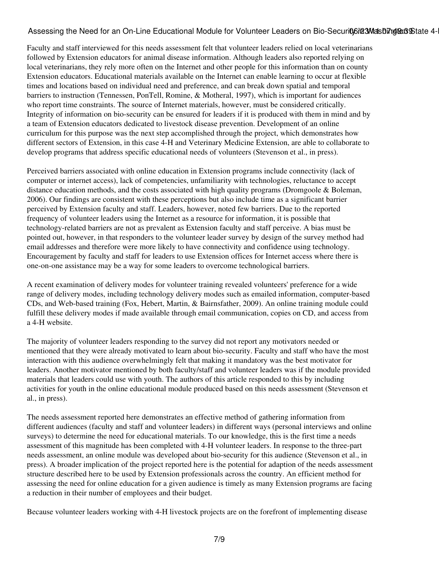Faculty and staff interviewed for this needs assessment felt that volunteer leaders relied on local veterinarians followed by Extension educators for animal disease information. Although leaders also reported relying on local veterinarians, they rely more often on the Internet and other people for this information than on county Extension educators. Educational materials available on the Internet can enable learning to occur at flexible times and locations based on individual need and preference, and can break down spatial and temporal barriers to instruction (Tennessen, PonTell, Romine, & Motheral, 1997), which is important for audiences who report time constraints. The source of Internet materials, however, must be considered critically. Integrity of information on bio-security can be ensured for leaders if it is produced with them in mind and by a team of Extension educators dedicated to livestock disease prevention. Development of an online curriculum for this purpose was the next step accomplished through the project, which demonstrates how different sectors of Extension, in this case 4-H and Veterinary Medicine Extension, are able to collaborate to develop programs that address specific educational needs of volunteers (Stevenson et al., in press).

Perceived barriers associated with online education in Extension programs include connectivity (lack of computer or internet access), lack of competencies, unfamiliarity with technologies, reluctance to accept distance education methods, and the costs associated with high quality programs (Dromgoole & Boleman, 2006). Our findings are consistent with these perceptions but also include time as a significant barrier perceived by Extension faculty and staff. Leaders, however, noted few barriers. Due to the reported frequency of volunteer leaders using the Internet as a resource for information, it is possible that technology-related barriers are not as prevalent as Extension faculty and staff perceive. A bias must be pointed out, however, in that responders to the volunteer leader survey by design of the survey method had email addresses and therefore were more likely to have connectivity and confidence using technology. Encouragement by faculty and staff for leaders to use Extension offices for Internet access where there is one-on-one assistance may be a way for some leaders to overcome technological barriers.

A recent examination of delivery modes for volunteer training revealed volunteers' preference for a wide range of delivery modes, including technology delivery modes such as emailed information, computer-based CDs, and Web-based training (Fox, Hebert, Martin, & Bairnsfather, 2009). An online training module could fulfill these delivery modes if made available through email communication, copies on CD, and access from a 4-H website.

The majority of volunteer leaders responding to the survey did not report any motivators needed or mentioned that they were already motivated to learn about bio-security. Faculty and staff who have the most interaction with this audience overwhelmingly felt that making it mandatory was the best motivator for leaders. Another motivator mentioned by both faculty/staff and volunteer leaders was if the module provided materials that leaders could use with youth. The authors of this article responded to this by including activities for youth in the online educational module produced based on this needs assessment (Stevenson et al., in press).

The needs assessment reported here demonstrates an effective method of gathering information from different audiences (faculty and staff and volunteer leaders) in different ways (personal interviews and online surveys) to determine the need for educational materials. To our knowledge, this is the first time a needs assessment of this magnitude has been completed with 4-H volunteer leaders. In response to the three-part needs assessment, an online module was developed about bio-security for this audience (Stevenson et al., in press). A broader implication of the project reported here is the potential for adaption of the needs assessment structure described here to be used by Extension professionals across the country. An efficient method for assessing the need for online education for a given audience is timely as many Extension programs are facing a reduction in their number of employees and their budget.

Because volunteer leaders working with 4-H livestock projects are on the forefront of implementing disease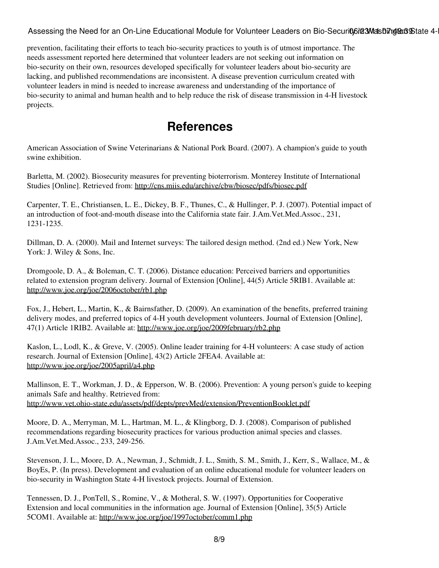prevention, facilitating their efforts to teach bio-security practices to youth is of utmost importance. The needs assessment reported here determined that volunteer leaders are not seeking out information on bio-security on their own, resources developed specifically for volunteer leaders about bio-security are lacking, and published recommendations are inconsistent. A disease prevention curriculum created with volunteer leaders in mind is needed to increase awareness and understanding of the importance of bio-security to animal and human health and to help reduce the risk of disease transmission in 4-H livestock projects.

### **References**

American Association of Swine Veterinarians & National Pork Board. (2007). A champion's guide to youth swine exhibition.

Barletta, M. (2002). Biosecurity measures for preventing bioterrorism. Monterey Institute of International Studies [Online]. Retrieved from:<http://cns.miis.edu/archive/cbw/biosec/pdfs/biosec.pdf>

Carpenter, T. E., Christiansen, L. E., Dickey, B. F., Thunes, C., & Hullinger, P. J. (2007). Potential impact of an introduction of foot-and-mouth disease into the California state fair. J.Am.Vet.Med.Assoc., 231, 1231-1235.

Dillman, D. A. (2000). Mail and Internet surveys: The tailored design method. (2nd ed.) New York, New York: J. Wiley & Sons, Inc.

Dromgoole, D. A., & Boleman, C. T. (2006). Distance education: Perceived barriers and opportunities related to extension program delivery. Journal of Extension [Online], 44(5) Article 5RIB1. Available at: <http://www.joe.org/joe/2006october/rb1.php>

Fox, J., Hebert, L., Martin, K., & Bairnsfather, D. (2009). An examination of the benefits, preferred training delivery modes, and preferred topics of 4-H youth development volunteers. Journal of Extension [Online], 47(1) Article 1RIB2. Available at: <http://www.joe.org/joe/2009february/rb2.php>

Kaslon, L., Lodl, K., & Greve, V. (2005). Online leader training for 4-H volunteers: A case study of action research. Journal of Extension [Online], 43(2) Article 2FEA4. Available at: <http://www.joe.org/joe/2005april/a4.php>

Mallinson, E. T., Workman, J. D., & Epperson, W. B. (2006). Prevention: A young person's guide to keeping animals Safe and healthy. Retrieved from: <http://www.vet.ohio-state.edu/assets/pdf/depts/prevMed/extension/PreventionBooklet.pdf>

Moore, D. A., Merryman, M. L., Hartman, M. L., & Klingborg, D. J. (2008). Comparison of published recommendations regarding biosecurity practices for various production animal species and classes. J.Am.Vet.Med.Assoc., 233, 249-256.

Stevenson, J. L., Moore, D. A., Newman, J., Schmidt, J. L., Smith, S. M., Smith, J., Kerr, S., Wallace, M., & BoyEs, P. (In press). Development and evaluation of an online educational module for volunteer leaders on bio-security in Washington State 4-H livestock projects. Journal of Extension.

Tennessen, D. J., PonTell, S., Romine, V., & Motheral, S. W. (1997). Opportunities for Cooperative Extension and local communities in the information age. Journal of Extension [Online], 35(5) Article 5COM1. Available at:<http://www.joe.org/joe/1997october/comm1.php>